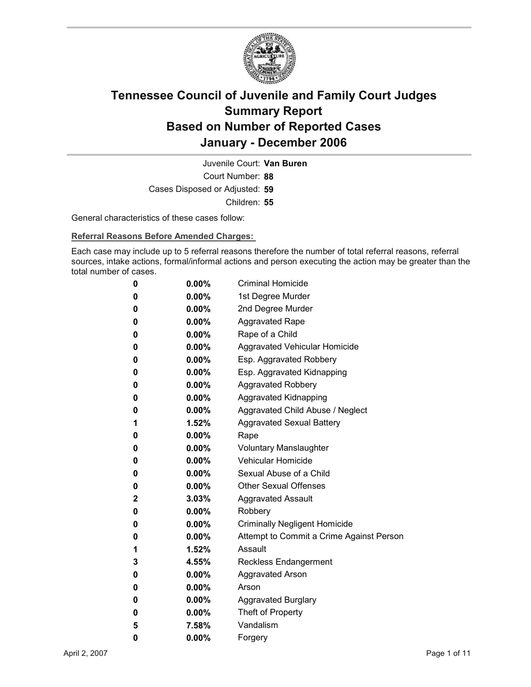

Court Number: **88** Juvenile Court: **Van Buren** Cases Disposed or Adjusted: **59** Children: **55**

General characteristics of these cases follow:

**Referral Reasons Before Amended Charges:** 

Each case may include up to 5 referral reasons therefore the number of total referral reasons, referral sources, intake actions, formal/informal actions and person executing the action may be greater than the total number of cases.

| 0 | $0.00\%$ | <b>Criminal Homicide</b>                 |
|---|----------|------------------------------------------|
| 0 | $0.00\%$ | 1st Degree Murder                        |
| 0 | $0.00\%$ | 2nd Degree Murder                        |
| 0 | $0.00\%$ | <b>Aggravated Rape</b>                   |
| 0 | $0.00\%$ | Rape of a Child                          |
| 0 | 0.00%    | Aggravated Vehicular Homicide            |
| 0 | $0.00\%$ | Esp. Aggravated Robbery                  |
| 0 | $0.00\%$ | Esp. Aggravated Kidnapping               |
| 0 | 0.00%    | <b>Aggravated Robbery</b>                |
| 0 | $0.00\%$ | Aggravated Kidnapping                    |
| 0 | $0.00\%$ | Aggravated Child Abuse / Neglect         |
| 1 | 1.52%    | <b>Aggravated Sexual Battery</b>         |
| 0 | $0.00\%$ | Rape                                     |
| 0 | $0.00\%$ | <b>Voluntary Manslaughter</b>            |
| 0 | $0.00\%$ | Vehicular Homicide                       |
| 0 | $0.00\%$ | Sexual Abuse of a Child                  |
| 0 | $0.00\%$ | <b>Other Sexual Offenses</b>             |
| 2 | $3.03\%$ | <b>Aggravated Assault</b>                |
| 0 | 0.00%    | Robbery                                  |
| 0 | $0.00\%$ | <b>Criminally Negligent Homicide</b>     |
| 0 | $0.00\%$ | Attempt to Commit a Crime Against Person |
| 1 | 1.52%    | Assault                                  |
| 3 | 4.55%    | <b>Reckless Endangerment</b>             |
| 0 | 0.00%    | <b>Aggravated Arson</b>                  |
| 0 | $0.00\%$ | Arson                                    |
| 0 | 0.00%    | <b>Aggravated Burglary</b>               |
| 0 | 0.00%    | Theft of Property                        |
| 5 | 7.58%    | Vandalism                                |
| 0 | 0.00%    | Forgery                                  |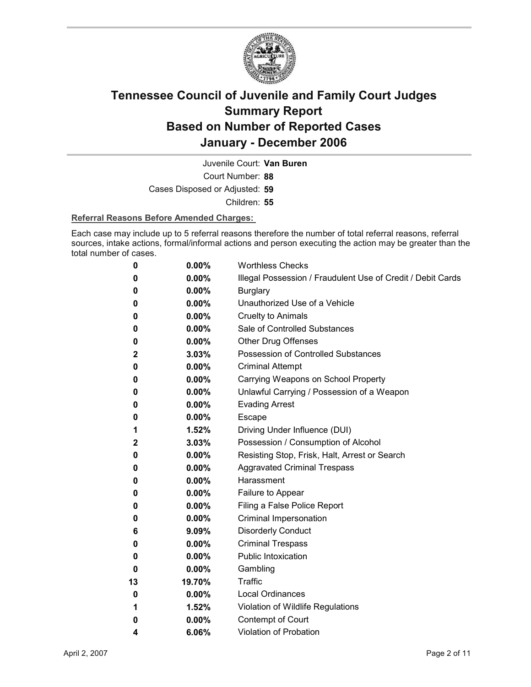

Juvenile Court: **Van Buren**

Court Number: **88**

Cases Disposed or Adjusted: **59**

Children: **55**

#### **Referral Reasons Before Amended Charges:**

Each case may include up to 5 referral reasons therefore the number of total referral reasons, referral sources, intake actions, formal/informal actions and person executing the action may be greater than the total number of cases.

| 0            | 0.00%    | <b>Worthless Checks</b>                                     |
|--------------|----------|-------------------------------------------------------------|
| 0            | $0.00\%$ | Illegal Possession / Fraudulent Use of Credit / Debit Cards |
| 0            | 0.00%    | <b>Burglary</b>                                             |
| 0            | 0.00%    | Unauthorized Use of a Vehicle                               |
| 0            | $0.00\%$ | <b>Cruelty to Animals</b>                                   |
| 0            | $0.00\%$ | Sale of Controlled Substances                               |
| 0            | $0.00\%$ | <b>Other Drug Offenses</b>                                  |
| 2            | 3.03%    | <b>Possession of Controlled Substances</b>                  |
| 0            | $0.00\%$ | <b>Criminal Attempt</b>                                     |
| 0            | $0.00\%$ | Carrying Weapons on School Property                         |
| 0            | $0.00\%$ | Unlawful Carrying / Possession of a Weapon                  |
| 0            | 0.00%    | <b>Evading Arrest</b>                                       |
| 0            | $0.00\%$ | Escape                                                      |
| 1            | $1.52\%$ | Driving Under Influence (DUI)                               |
| $\mathbf{2}$ | 3.03%    | Possession / Consumption of Alcohol                         |
| 0            | $0.00\%$ | Resisting Stop, Frisk, Halt, Arrest or Search               |
| 0            | $0.00\%$ | <b>Aggravated Criminal Trespass</b>                         |
| 0            | $0.00\%$ | Harassment                                                  |
| 0            | 0.00%    | Failure to Appear                                           |
| 0            | $0.00\%$ | Filing a False Police Report                                |
| 0            | $0.00\%$ | Criminal Impersonation                                      |
| 6            | $9.09\%$ | <b>Disorderly Conduct</b>                                   |
| 0            | 0.00%    | <b>Criminal Trespass</b>                                    |
| 0            | $0.00\%$ | <b>Public Intoxication</b>                                  |
| 0            | 0.00%    | Gambling                                                    |
| 13           | 19.70%   | Traffic                                                     |
| 0            | $0.00\%$ | <b>Local Ordinances</b>                                     |
| 1            | $1.52\%$ | Violation of Wildlife Regulations                           |
| 0            | 0.00%    | Contempt of Court                                           |
| 4            | 6.06%    | Violation of Probation                                      |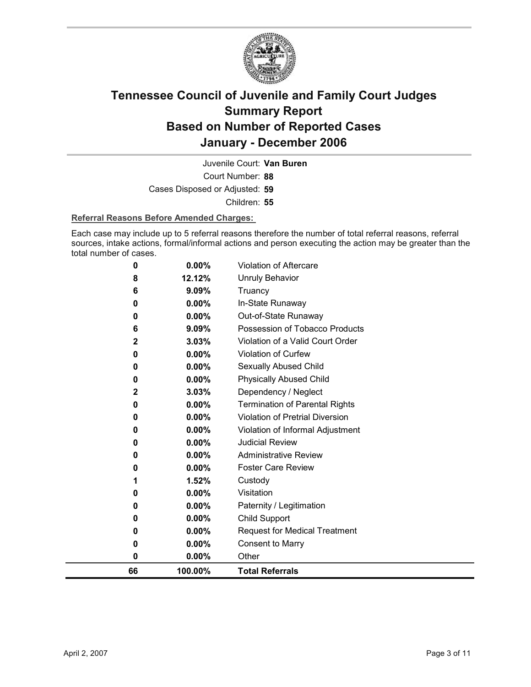

Court Number: **88** Juvenile Court: **Van Buren** Cases Disposed or Adjusted: **59** Children: **55**

#### **Referral Reasons Before Amended Charges:**

Each case may include up to 5 referral reasons therefore the number of total referral reasons, referral sources, intake actions, formal/informal actions and person executing the action may be greater than the total number of cases.

| 66          | 100.00%  | <b>Total Referrals</b>                 |
|-------------|----------|----------------------------------------|
| 0           | 0.00%    | Other                                  |
| 0           | 0.00%    | <b>Consent to Marry</b>                |
| 0           | 0.00%    | <b>Request for Medical Treatment</b>   |
| 0           | $0.00\%$ | Child Support                          |
| 0           | $0.00\%$ | Paternity / Legitimation               |
| 0           | 0.00%    | Visitation                             |
| 1           | 1.52%    | Custody                                |
| 0           | 0.00%    | <b>Foster Care Review</b>              |
| 0           | $0.00\%$ | <b>Administrative Review</b>           |
| 0           | $0.00\%$ | <b>Judicial Review</b>                 |
| 0           | 0.00%    | Violation of Informal Adjustment       |
| 0           | 0.00%    | <b>Violation of Pretrial Diversion</b> |
| 0           | 0.00%    | <b>Termination of Parental Rights</b>  |
| $\mathbf 2$ | 3.03%    | Dependency / Neglect                   |
| 0           | 0.00%    | <b>Physically Abused Child</b>         |
| 0           | 0.00%    | <b>Sexually Abused Child</b>           |
| 0           | 0.00%    | <b>Violation of Curfew</b>             |
| $\mathbf 2$ | 3.03%    | Violation of a Valid Court Order       |
| 6           | 9.09%    | Possession of Tobacco Products         |
| 0           | $0.00\%$ | Out-of-State Runaway                   |
| 0           | $0.00\%$ | In-State Runaway                       |
| 6           | 9.09%    | Truancy                                |
| 8           | 12.12%   | Unruly Behavior                        |
| 0           | 0.00%    | <b>Violation of Aftercare</b>          |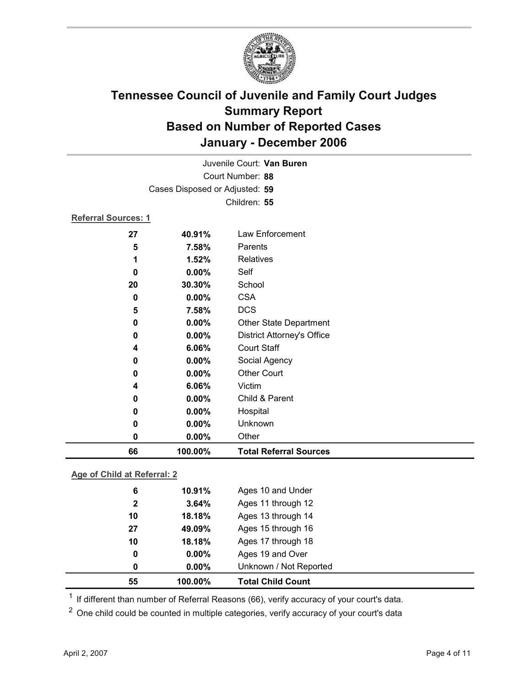

| 66                         | 100.00%                        | <b>Total Referral Sources</b> |
|----------------------------|--------------------------------|-------------------------------|
| 0                          | 0.00%                          | Other                         |
| 0                          | 0.00%                          | Unknown                       |
| 0                          | $0.00\%$                       | Hospital                      |
| 0                          | 0.00%                          | Child & Parent                |
| 4                          | 6.06%                          | Victim                        |
| 0                          | 0.00%                          | <b>Other Court</b>            |
| 0                          | 0.00%                          | Social Agency                 |
| 4                          | 6.06%                          | <b>Court Staff</b>            |
| 0                          | 0.00%                          | District Attorney's Office    |
| 0                          | 0.00%                          | <b>Other State Department</b> |
| 5                          | 7.58%                          | <b>DCS</b>                    |
| 0                          | 0.00%                          | <b>CSA</b>                    |
| 20                         | 30.30%                         | School                        |
| 0                          | 0.00%                          | Self                          |
| 1                          | 1.52%                          | <b>Relatives</b>              |
| 5                          | 7.58%                          | Parents                       |
| 27                         | 40.91%                         | Law Enforcement               |
| <b>Referral Sources: 1</b> |                                |                               |
|                            |                                | Children: 55                  |
|                            | Cases Disposed or Adjusted: 59 |                               |
|                            |                                | Court Number: 88              |
|                            |                                | Juvenile Court: Van Buren     |
|                            |                                |                               |

### **Age of Child at Referral: 2**

| 55           | 100.00%  | <b>Total Child Count</b> |
|--------------|----------|--------------------------|
| 0            | $0.00\%$ | Unknown / Not Reported   |
| 0            | $0.00\%$ | Ages 19 and Over         |
| 10           | 18.18%   | Ages 17 through 18       |
| 27           | 49.09%   | Ages 15 through 16       |
| 10           | 18.18%   | Ages 13 through 14       |
| $\mathbf{2}$ | 3.64%    | Ages 11 through 12       |
| 6            | 10.91%   | Ages 10 and Under        |
|              |          |                          |

 $1$  If different than number of Referral Reasons (66), verify accuracy of your court's data.

<sup>2</sup> One child could be counted in multiple categories, verify accuracy of your court's data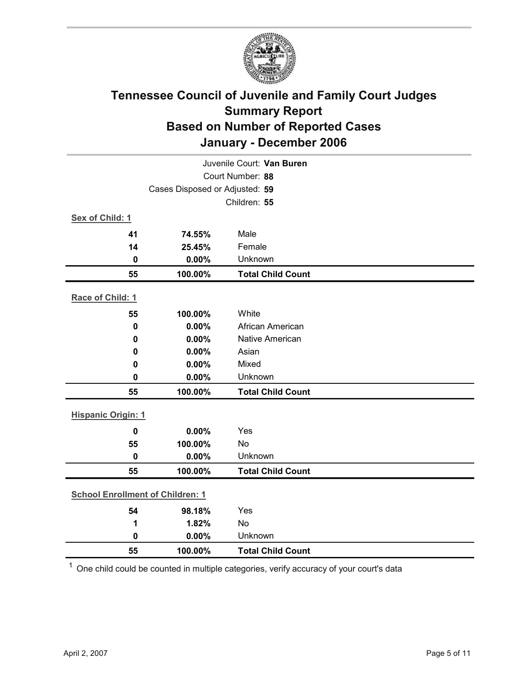

| Juvenile Court: Van Buren               |                                |                          |  |  |  |
|-----------------------------------------|--------------------------------|--------------------------|--|--|--|
| Court Number: 88                        |                                |                          |  |  |  |
|                                         | Cases Disposed or Adjusted: 59 |                          |  |  |  |
|                                         |                                | Children: 55             |  |  |  |
| Sex of Child: 1                         |                                |                          |  |  |  |
| 41                                      | 74.55%                         | Male                     |  |  |  |
| 14                                      | 25.45%                         | Female                   |  |  |  |
| 0                                       | 0.00%                          | Unknown                  |  |  |  |
| 55                                      | 100.00%                        | <b>Total Child Count</b> |  |  |  |
| Race of Child: 1                        |                                |                          |  |  |  |
| 55                                      | 100.00%                        | White                    |  |  |  |
| $\mathbf 0$                             | 0.00%                          | African American         |  |  |  |
| 0                                       | 0.00%                          | <b>Native American</b>   |  |  |  |
| 0                                       | 0.00%                          | Asian                    |  |  |  |
| 0                                       | 0.00%                          | Mixed                    |  |  |  |
| $\mathbf 0$                             | 0.00%                          | Unknown                  |  |  |  |
| 55                                      | 100.00%                        | <b>Total Child Count</b> |  |  |  |
| <b>Hispanic Origin: 1</b>               |                                |                          |  |  |  |
| $\mathbf 0$                             | 0.00%                          | Yes                      |  |  |  |
| 55                                      | 100.00%                        | No                       |  |  |  |
| $\mathbf 0$                             | 0.00%                          | Unknown                  |  |  |  |
| 55                                      | 100.00%                        | <b>Total Child Count</b> |  |  |  |
| <b>School Enrollment of Children: 1</b> |                                |                          |  |  |  |
| 54                                      | 98.18%                         | Yes                      |  |  |  |
| 1                                       | 1.82%                          | No                       |  |  |  |
| $\mathbf 0$                             | 0.00%                          | Unknown                  |  |  |  |
| 55                                      | 100.00%                        | <b>Total Child Count</b> |  |  |  |

 $1$  One child could be counted in multiple categories, verify accuracy of your court's data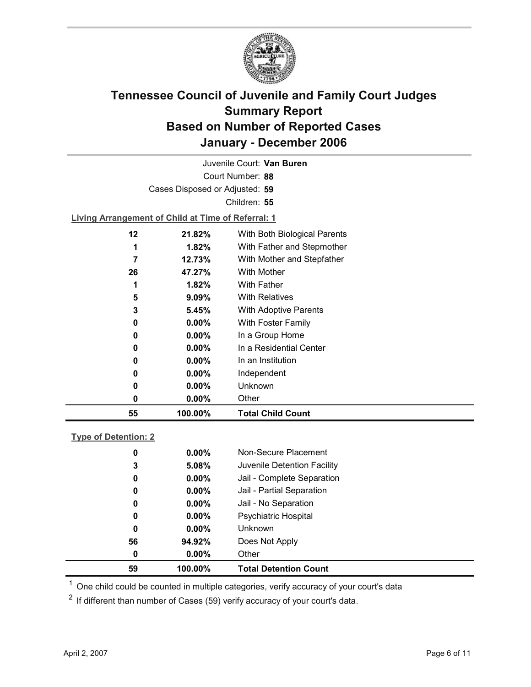

Court Number: **88** Juvenile Court: **Van Buren** Cases Disposed or Adjusted: **59** Children: **55 Living Arrangement of Child at Time of Referral: 1 12 21.82%** With Both Biological Parents **1 1.82%** With Father and Stepmother **7 12.73%** With Mother and Stepfather

| 55 | 100.00%  | <b>Total Child Count</b> |
|----|----------|--------------------------|
| 0  | $0.00\%$ | Other                    |
| 0  | 0.00%    | <b>Unknown</b>           |
| 0  | $0.00\%$ | Independent              |
| 0  | $0.00\%$ | In an Institution        |
| 0  | $0.00\%$ | In a Residential Center  |
| 0  | $0.00\%$ | In a Group Home          |
| 0  | $0.00\%$ | With Foster Family       |
| 3  | 5.45%    | With Adoptive Parents    |
| 5  | 9.09%    | <b>With Relatives</b>    |
|    | 1.82%    | <b>With Father</b>       |
| 26 | 47.27%   | <b>With Mother</b>       |

### **Type of Detention: 2**

| 59 | 100.00%  | <b>Total Detention Count</b> |
|----|----------|------------------------------|
| 0  | $0.00\%$ | Other                        |
| 56 | 94.92%   | Does Not Apply               |
| 0  | $0.00\%$ | <b>Unknown</b>               |
| 0  | $0.00\%$ | <b>Psychiatric Hospital</b>  |
| 0  | $0.00\%$ | Jail - No Separation         |
| 0  | $0.00\%$ | Jail - Partial Separation    |
| 0  | $0.00\%$ | Jail - Complete Separation   |
| 3  | 5.08%    | Juvenile Detention Facility  |
| 0  | $0.00\%$ | Non-Secure Placement         |
|    |          |                              |

 $<sup>1</sup>$  One child could be counted in multiple categories, verify accuracy of your court's data</sup>

 $2$  If different than number of Cases (59) verify accuracy of your court's data.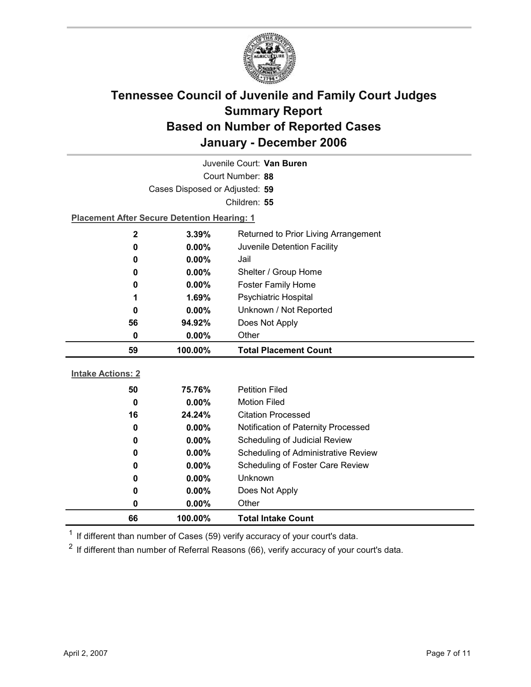

|                          | Juvenile Court: Van Buren                          |                                      |  |  |
|--------------------------|----------------------------------------------------|--------------------------------------|--|--|
| Court Number: 88         |                                                    |                                      |  |  |
|                          | Cases Disposed or Adjusted: 59                     |                                      |  |  |
|                          |                                                    | Children: 55                         |  |  |
|                          | <b>Placement After Secure Detention Hearing: 1</b> |                                      |  |  |
| $\mathbf 2$              | 3.39%                                              | Returned to Prior Living Arrangement |  |  |
| 0                        | 0.00%                                              | Juvenile Detention Facility          |  |  |
| 0                        | 0.00%                                              | Jail                                 |  |  |
| 0                        | 0.00%                                              | Shelter / Group Home                 |  |  |
| 0                        | 0.00%                                              | <b>Foster Family Home</b>            |  |  |
| 1                        | 1.69%                                              | Psychiatric Hospital                 |  |  |
| 0                        | $0.00\%$                                           | Unknown / Not Reported               |  |  |
| 56                       | 94.92%                                             | Does Not Apply                       |  |  |
| 0                        | $0.00\%$                                           | Other                                |  |  |
|                          |                                                    |                                      |  |  |
| 59                       | 100.00%                                            | <b>Total Placement Count</b>         |  |  |
|                          |                                                    |                                      |  |  |
| <b>Intake Actions: 2</b> |                                                    |                                      |  |  |
| 50                       | 75.76%                                             | <b>Petition Filed</b>                |  |  |
| $\mathbf 0$              | $0.00\%$                                           | <b>Motion Filed</b>                  |  |  |
| 16                       | 24.24%                                             | <b>Citation Processed</b>            |  |  |
| 0                        | 0.00%                                              | Notification of Paternity Processed  |  |  |
| 0                        | 0.00%                                              | Scheduling of Judicial Review        |  |  |
| 0                        | 0.00%                                              | Scheduling of Administrative Review  |  |  |
| 0                        | 0.00%                                              | Scheduling of Foster Care Review     |  |  |
| 0                        | 0.00%                                              | <b>Unknown</b>                       |  |  |
| 0                        | 0.00%                                              | Does Not Apply                       |  |  |
| 0                        | 0.00%                                              | Other                                |  |  |

 $1$  If different than number of Cases (59) verify accuracy of your court's data.

 $2$  If different than number of Referral Reasons (66), verify accuracy of your court's data.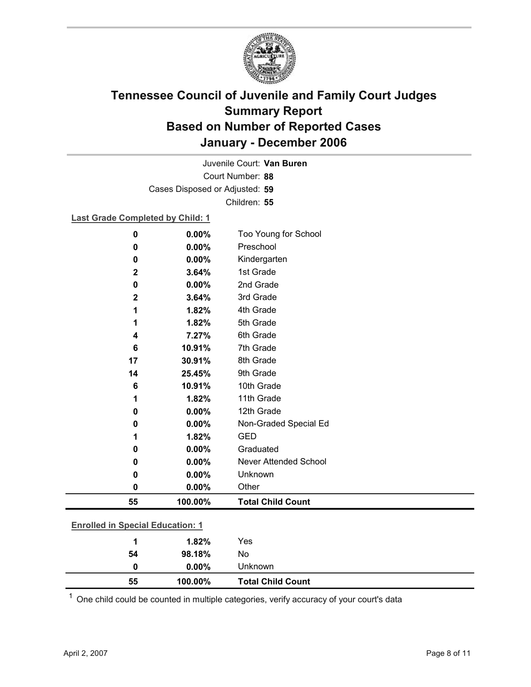

Court Number: **88** Juvenile Court: **Van Buren** Cases Disposed or Adjusted: **59** Children: **55**

#### **Last Grade Completed by Child: 1**

| 0                                       | 0.00%   | Too Young for School         |
|-----------------------------------------|---------|------------------------------|
| 0                                       | 0.00%   | Preschool                    |
| 0                                       | 0.00%   | Kindergarten                 |
| 2                                       | 3.64%   | 1st Grade                    |
| 0                                       | 0.00%   | 2nd Grade                    |
| 2                                       | 3.64%   | 3rd Grade                    |
| 1                                       | 1.82%   | 4th Grade                    |
| 1                                       | 1.82%   | 5th Grade                    |
| 4                                       | 7.27%   | 6th Grade                    |
| 6                                       | 10.91%  | 7th Grade                    |
| 17                                      | 30.91%  | 8th Grade                    |
| 14                                      | 25.45%  | 9th Grade                    |
| 6                                       | 10.91%  | 10th Grade                   |
| 1                                       | 1.82%   | 11th Grade                   |
| 0                                       | 0.00%   | 12th Grade                   |
| 0                                       | 0.00%   | Non-Graded Special Ed        |
| 1                                       | 1.82%   | <b>GED</b>                   |
| 0                                       | 0.00%   | Graduated                    |
| 0                                       | 0.00%   | <b>Never Attended School</b> |
| 0                                       | 0.00%   | Unknown                      |
| 0                                       | 0.00%   | Other                        |
| 55                                      | 100.00% | <b>Total Child Count</b>     |
|                                         |         |                              |
| <b>Enrolled in Special Education: 1</b> |         |                              |
| 1                                       | 1.82%   | Yes                          |

| 55 | 100.00% | <b>Total Child Count</b> |
|----|---------|--------------------------|
|    | 0.00%   | <b>Unknown</b>           |
| 54 | 98.18%  | No                       |
|    | 1.82%   | Yes                      |

 $1$  One child could be counted in multiple categories, verify accuracy of your court's data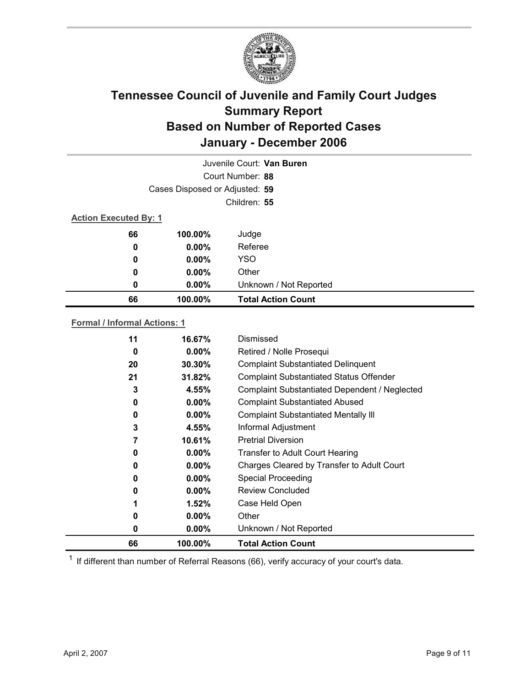

|                              |                                | Juvenile Court: Van Buren |  |
|------------------------------|--------------------------------|---------------------------|--|
|                              |                                | Court Number: 88          |  |
|                              | Cases Disposed or Adjusted: 59 |                           |  |
|                              |                                | Children: 55              |  |
| <b>Action Executed By: 1</b> |                                |                           |  |
| 66                           | 100.00%                        | Judge                     |  |
| $\boldsymbol{0}$             | $0.00\%$                       | Referee                   |  |
| 0                            | $0.00\%$                       | <b>YSO</b>                |  |
| 0                            | $0.00\%$                       | Other                     |  |
| 0                            | $0.00\%$                       | Unknown / Not Reported    |  |
| 66                           | 100.00%                        | <b>Total Action Count</b> |  |

### **Formal / Informal Actions: 1**

| $0.00\%$<br>$0.00\%$<br>4.55%<br>10.61%<br>$0.00\%$<br>$0.00\%$<br>$0.00\%$<br>$0.00\%$<br>1.52%<br>$0.00\%$<br>$0.00\%$ | Complaint Substantiated Dependent / Neglected<br><b>Complaint Substantiated Abused</b><br><b>Complaint Substantiated Mentally III</b><br>Informal Adjustment<br><b>Pretrial Diversion</b><br><b>Transfer to Adult Court Hearing</b><br>Charges Cleared by Transfer to Adult Court<br><b>Special Proceeding</b><br>Review Concluded<br>Case Held Open<br>Other<br>Unknown / Not Reported |
|--------------------------------------------------------------------------------------------------------------------------|-----------------------------------------------------------------------------------------------------------------------------------------------------------------------------------------------------------------------------------------------------------------------------------------------------------------------------------------------------------------------------------------|
|                                                                                                                          |                                                                                                                                                                                                                                                                                                                                                                                         |
|                                                                                                                          |                                                                                                                                                                                                                                                                                                                                                                                         |
|                                                                                                                          |                                                                                                                                                                                                                                                                                                                                                                                         |
|                                                                                                                          |                                                                                                                                                                                                                                                                                                                                                                                         |
|                                                                                                                          |                                                                                                                                                                                                                                                                                                                                                                                         |
|                                                                                                                          |                                                                                                                                                                                                                                                                                                                                                                                         |
|                                                                                                                          |                                                                                                                                                                                                                                                                                                                                                                                         |
|                                                                                                                          |                                                                                                                                                                                                                                                                                                                                                                                         |
|                                                                                                                          |                                                                                                                                                                                                                                                                                                                                                                                         |
|                                                                                                                          |                                                                                                                                                                                                                                                                                                                                                                                         |
|                                                                                                                          |                                                                                                                                                                                                                                                                                                                                                                                         |
| 4.55%                                                                                                                    |                                                                                                                                                                                                                                                                                                                                                                                         |
| 31.82%                                                                                                                   | <b>Complaint Substantiated Status Offender</b>                                                                                                                                                                                                                                                                                                                                          |
| $30.30\%$                                                                                                                | <b>Complaint Substantiated Delinquent</b>                                                                                                                                                                                                                                                                                                                                               |
| $0.00\%$                                                                                                                 | Retired / Nolle Prosequi                                                                                                                                                                                                                                                                                                                                                                |
|                                                                                                                          |                                                                                                                                                                                                                                                                                                                                                                                         |
|                                                                                                                          | 16.67%                                                                                                                                                                                                                                                                                                                                                                                  |

 $1$  If different than number of Referral Reasons (66), verify accuracy of your court's data.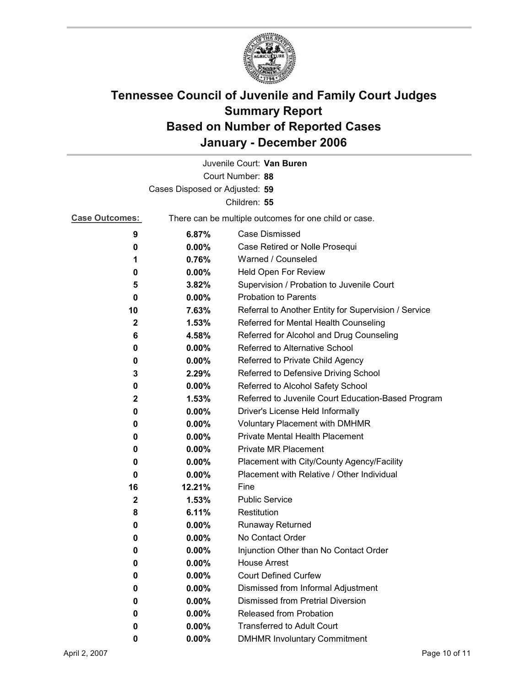

|                                |                                                       | Juvenile Court: Van Buren                            |  |  |
|--------------------------------|-------------------------------------------------------|------------------------------------------------------|--|--|
|                                |                                                       | Court Number: 88                                     |  |  |
| Cases Disposed or Adjusted: 59 |                                                       |                                                      |  |  |
| Children: 55                   |                                                       |                                                      |  |  |
| <b>Case Outcomes:</b>          | There can be multiple outcomes for one child or case. |                                                      |  |  |
| 9                              | 6.87%                                                 | Case Dismissed                                       |  |  |
| 0                              | $0.00\%$                                              | Case Retired or Nolle Prosequi                       |  |  |
| 1                              | 0.76%                                                 | Warned / Counseled                                   |  |  |
| 0                              | $0.00\%$                                              | Held Open For Review                                 |  |  |
| 5                              | 3.82%                                                 | Supervision / Probation to Juvenile Court            |  |  |
| 0                              | $0.00\%$                                              | <b>Probation to Parents</b>                          |  |  |
| 10                             | 7.63%                                                 | Referral to Another Entity for Supervision / Service |  |  |
| $\mathbf 2$                    | 1.53%                                                 | Referred for Mental Health Counseling                |  |  |
| 6                              | 4.58%                                                 | Referred for Alcohol and Drug Counseling             |  |  |
| 0                              | $0.00\%$                                              | Referred to Alternative School                       |  |  |
| 0                              | $0.00\%$                                              | Referred to Private Child Agency                     |  |  |
| 3                              | 2.29%                                                 | Referred to Defensive Driving School                 |  |  |
| 0                              | 0.00%                                                 | Referred to Alcohol Safety School                    |  |  |
| $\mathbf{2}$                   | 1.53%                                                 | Referred to Juvenile Court Education-Based Program   |  |  |
| 0                              | 0.00%                                                 | Driver's License Held Informally                     |  |  |
| 0                              | $0.00\%$                                              | <b>Voluntary Placement with DMHMR</b>                |  |  |
| 0                              | 0.00%                                                 | Private Mental Health Placement                      |  |  |
| 0                              | $0.00\%$                                              | <b>Private MR Placement</b>                          |  |  |
| 0                              | $0.00\%$                                              | Placement with City/County Agency/Facility           |  |  |
| 0                              | $0.00\%$                                              | Placement with Relative / Other Individual           |  |  |
| 16                             | 12.21%                                                | Fine                                                 |  |  |
| $\mathbf 2$                    | 1.53%                                                 | <b>Public Service</b>                                |  |  |
| 8                              | 6.11%                                                 | Restitution                                          |  |  |
| 0                              | $0.00\%$                                              | <b>Runaway Returned</b>                              |  |  |
| 0                              | 0.00%                                                 | No Contact Order                                     |  |  |
| 0                              | 0.00%                                                 | Injunction Other than No Contact Order               |  |  |
| 0                              | $0.00\%$                                              | <b>House Arrest</b>                                  |  |  |
| 0                              | $0.00\%$                                              | <b>Court Defined Curfew</b>                          |  |  |
| 0                              | 0.00%                                                 | Dismissed from Informal Adjustment                   |  |  |
| 0                              | $0.00\%$                                              | <b>Dismissed from Pretrial Diversion</b>             |  |  |
| 0                              | 0.00%                                                 | Released from Probation                              |  |  |
| 0                              | $0.00\%$                                              | <b>Transferred to Adult Court</b>                    |  |  |
| 0                              | $0.00\%$                                              | <b>DMHMR Involuntary Commitment</b>                  |  |  |